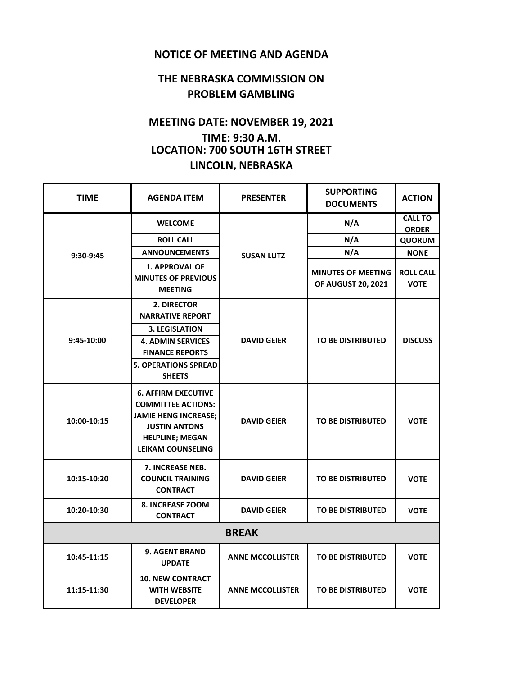## **NOTICE OF MEETING AND AGENDA**

## **THE NEBRASKA COMMISSION ON PROBLEM GAMBLING**

## **MEETING DATE: NOVEMBER 19, 2021 TIME: 9:30 A.M. LOCATION: 700 SOUTH 16TH STREET LINCOLN, NEBRASKA**

| <b>TIME</b>  | <b>AGENDA ITEM</b>                                                                                                                                                   | <b>PRESENTER</b>        | <b>SUPPORTING</b><br><b>DOCUMENTS</b>                  | <b>ACTION</b>                   |  |  |
|--------------|----------------------------------------------------------------------------------------------------------------------------------------------------------------------|-------------------------|--------------------------------------------------------|---------------------------------|--|--|
| 9:30-9:45    | <b>WELCOME</b>                                                                                                                                                       | <b>SUSAN LUTZ</b>       | N/A                                                    | <b>CALL TO</b><br><b>ORDER</b>  |  |  |
|              | <b>ROLL CALL</b>                                                                                                                                                     |                         | N/A                                                    | <b>QUORUM</b>                   |  |  |
|              | <b>ANNOUNCEMENTS</b>                                                                                                                                                 |                         | N/A                                                    | <b>NONE</b>                     |  |  |
|              | <b>1. APPROVAL OF</b><br><b>MINUTES OF PREVIOUS</b><br><b>MEETING</b>                                                                                                |                         | <b>MINUTES OF MEETING</b><br><b>OF AUGUST 20, 2021</b> | <b>ROLL CALL</b><br><b>VOTE</b> |  |  |
| 9:45-10:00   | 2. DIRECTOR<br><b>NARRATIVE REPORT</b><br><b>3. LEGISLATION</b>                                                                                                      | <b>DAVID GEIER</b>      | <b>TO BE DISTRIBUTED</b>                               | <b>DISCUSS</b>                  |  |  |
|              | <b>4. ADMIN SERVICES</b><br><b>FINANCE REPORTS</b><br><b>5. OPERATIONS SPREAD</b><br><b>SHEETS</b>                                                                   |                         |                                                        |                                 |  |  |
| 10:00-10:15  | <b>6. AFFIRM EXECUTIVE</b><br><b>COMMITTEE ACTIONS:</b><br><b>JAMIE HENG INCREASE:</b><br><b>JUSTIN ANTONS</b><br><b>HELPLINE; MEGAN</b><br><b>LEIKAM COUNSELING</b> | <b>DAVID GEIER</b>      | <b>TO BE DISTRIBUTED</b>                               | <b>VOTE</b>                     |  |  |
| 10:15-10:20  | 7. INCREASE NEB.<br><b>COUNCIL TRAINING</b><br><b>CONTRACT</b>                                                                                                       | <b>DAVID GEIER</b>      | <b>TO BE DISTRIBUTED</b>                               | <b>VOTE</b>                     |  |  |
| 10:20-10:30  | 8. INCREASE ZOOM<br><b>CONTRACT</b>                                                                                                                                  | <b>DAVID GEIER</b>      | <b>TO BE DISTRIBUTED</b>                               | <b>VOTE</b>                     |  |  |
| <b>BREAK</b> |                                                                                                                                                                      |                         |                                                        |                                 |  |  |
| 10:45-11:15  | <b>9. AGENT BRAND</b><br><b>UPDATE</b>                                                                                                                               | <b>ANNE MCCOLLISTER</b> | <b>TO BE DISTRIBUTED</b>                               | <b>VOTE</b>                     |  |  |
| 11:15-11:30  | <b>10. NEW CONTRACT</b><br><b>WITH WEBSITE</b><br><b>DEVELOPER</b>                                                                                                   | <b>ANNE MCCOLLISTER</b> | <b>TO BE DISTRIBUTED</b>                               | <b>VOTE</b>                     |  |  |